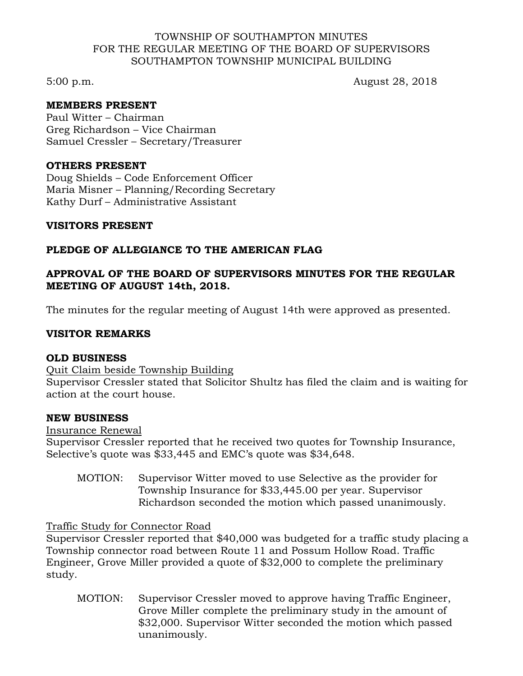#### TOWNSHIP OF SOUTHAMPTON MINUTES FOR THE REGULAR MEETING OF THE BOARD OF SUPERVISORS SOUTHAMPTON TOWNSHIP MUNICIPAL BUILDING

5:00 p.m. August 28, 2018

### **MEMBERS PRESENT**

Paul Witter – Chairman Greg Richardson – Vice Chairman Samuel Cressler – Secretary/Treasurer

#### **OTHERS PRESENT**

Doug Shields – Code Enforcement Officer Maria Misner – Planning/Recording Secretary Kathy Durf – Administrative Assistant

### **VISITORS PRESENT**

# **PLEDGE OF ALLEGIANCE TO THE AMERICAN FLAG**

# **APPROVAL OF THE BOARD OF SUPERVISORS MINUTES FOR THE REGULAR MEETING OF AUGUST 14th, 2018.**

The minutes for the regular meeting of August 14th were approved as presented.

# **VISITOR REMARKS**

### **OLD BUSINESS**

Quit Claim beside Township Building Supervisor Cressler stated that Solicitor Shultz has filed the claim and is waiting for action at the court house.

### **NEW BUSINESS**

### Insurance Renewal

Supervisor Cressler reported that he received two quotes for Township Insurance, Selective's quote was \$33,445 and EMC's quote was \$34,648.

MOTION: Supervisor Witter moved to use Selective as the provider for Township Insurance for \$33,445.00 per year. Supervisor Richardson seconded the motion which passed unanimously.

### Traffic Study for Connector Road

Supervisor Cressler reported that \$40,000 was budgeted for a traffic study placing a Township connector road between Route 11 and Possum Hollow Road. Traffic Engineer, Grove Miller provided a quote of \$32,000 to complete the preliminary study.

MOTION: Supervisor Cressler moved to approve having Traffic Engineer, Grove Miller complete the preliminary study in the amount of \$32,000. Supervisor Witter seconded the motion which passed unanimously.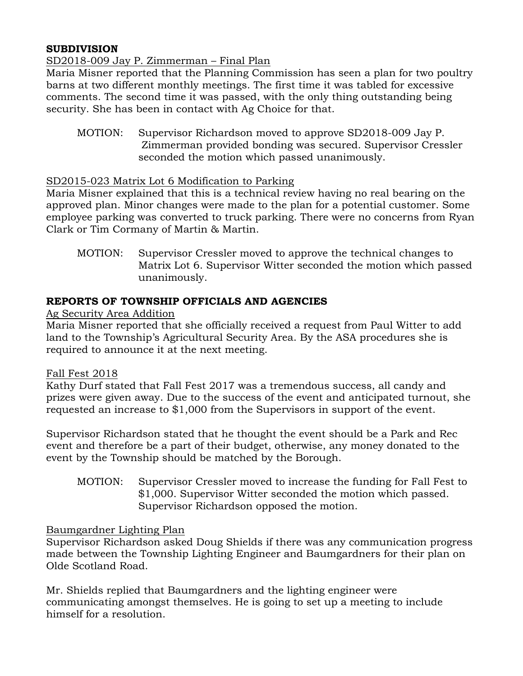# **SUBDIVISION**

# SD2018-009 Jay P. Zimmerman – Final Plan

Maria Misner reported that the Planning Commission has seen a plan for two poultry barns at two different monthly meetings. The first time it was tabled for excessive comments. The second time it was passed, with the only thing outstanding being security. She has been in contact with Ag Choice for that.

MOTION: Supervisor Richardson moved to approve SD2018-009 Jay P. Zimmerman provided bonding was secured. Supervisor Cressler seconded the motion which passed unanimously.

### SD2015-023 Matrix Lot 6 Modification to Parking

Maria Misner explained that this is a technical review having no real bearing on the approved plan. Minor changes were made to the plan for a potential customer. Some employee parking was converted to truck parking. There were no concerns from Ryan Clark or Tim Cormany of Martin & Martin.

MOTION: Supervisor Cressler moved to approve the technical changes to Matrix Lot 6. Supervisor Witter seconded the motion which passed unanimously.

### **REPORTS OF TOWNSHIP OFFICIALS AND AGENCIES**

Ag Security Area Addition

Maria Misner reported that she officially received a request from Paul Witter to add land to the Township's Agricultural Security Area. By the ASA procedures she is required to announce it at the next meeting.

### Fall Fest 2018

Kathy Durf stated that Fall Fest 2017 was a tremendous success, all candy and prizes were given away. Due to the success of the event and anticipated turnout, she requested an increase to \$1,000 from the Supervisors in support of the event.

Supervisor Richardson stated that he thought the event should be a Park and Rec event and therefore be a part of their budget, otherwise, any money donated to the event by the Township should be matched by the Borough.

MOTION: Supervisor Cressler moved to increase the funding for Fall Fest to \$1,000. Supervisor Witter seconded the motion which passed. Supervisor Richardson opposed the motion.

### Baumgardner Lighting Plan

Supervisor Richardson asked Doug Shields if there was any communication progress made between the Township Lighting Engineer and Baumgardners for their plan on Olde Scotland Road.

Mr. Shields replied that Baumgardners and the lighting engineer were communicating amongst themselves. He is going to set up a meeting to include himself for a resolution.